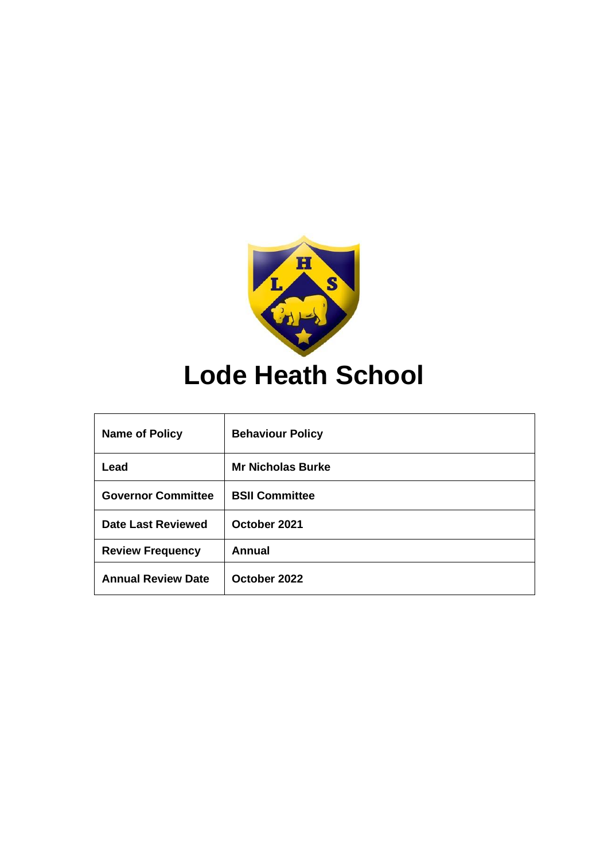

# **Lode Heath School**

| <b>Name of Policy</b>     | <b>Behaviour Policy</b>  |
|---------------------------|--------------------------|
| Lead                      | <b>Mr Nicholas Burke</b> |
| <b>Governor Committee</b> | <b>BSII Committee</b>    |
| Date Last Reviewed        | October 2021             |
| <b>Review Frequency</b>   | Annual                   |
| <b>Annual Review Date</b> | October 2022             |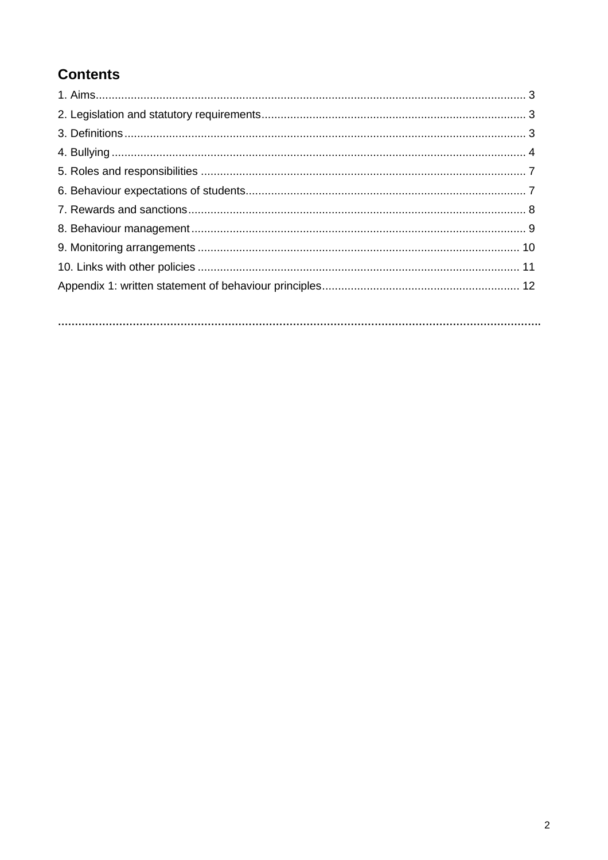# **Contents**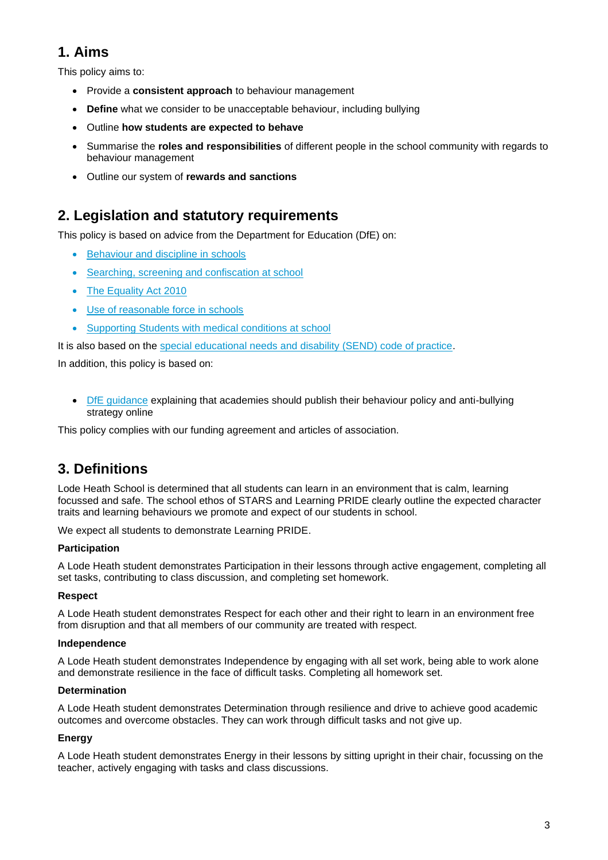# **1. Aims**

This policy aims to:

- Provide a **consistent approach** to behaviour management
- **Define** what we consider to be unacceptable behaviour, including bullying
- Outline **how students are expected to behave**
- Summarise the **roles and responsibilities** of different people in the school community with regards to behaviour management
- Outline our system of **rewards and sanctions**

### **2. Legislation and statutory requirements**

This policy is based on advice from the Department for Education (DfE) on:

- [Behaviour and discipline in schools](https://www.gov.uk/government/publications/behaviour-and-discipline-in-schools)
- [Searching, screening and confiscation at school](https://www.gov.uk/government/publications/searching-screening-and-confiscation)
- The [Equality Act 2010](https://www.gov.uk/government/publications/equality-act-2010-advice-for-schools)
- [Use of reasonable force in schools](https://www.gov.uk/government/publications/use-of-reasonable-force-in-schools)
- [Supporting Students with medical conditions at school](https://www.gov.uk/government/publications/supporting-pupils-at-school-with-medical-conditions--3)

It is also based on the [special educational needs and disability \(SEND\) code of practice.](https://www.gov.uk/government/publications/send-code-of-practice-0-to-25)

In addition, this policy is based on:

• [DfE guidance](https://www.gov.uk/guidance/what-academies-free-schools-and-colleges-should-publish-online) explaining that academies should publish their behaviour policy and anti-bullying strategy online

This policy complies with our funding agreement and articles of association.

### **3. Definitions**

Lode Heath School is determined that all students can learn in an environment that is calm, learning focussed and safe. The school ethos of STARS and Learning PRIDE clearly outline the expected character traits and learning behaviours we promote and expect of our students in school.

We expect all students to demonstrate Learning PRIDE.

### **Participation**

A Lode Heath student demonstrates Participation in their lessons through active engagement, completing all set tasks, contributing to class discussion, and completing set homework.

### **Respect**

A Lode Heath student demonstrates Respect for each other and their right to learn in an environment free from disruption and that all members of our community are treated with respect.

#### **Independence**

A Lode Heath student demonstrates Independence by engaging with all set work, being able to work alone and demonstrate resilience in the face of difficult tasks. Completing all homework set.

#### **Determination**

A Lode Heath student demonstrates Determination through resilience and drive to achieve good academic outcomes and overcome obstacles. They can work through difficult tasks and not give up.

### **Energy**

A Lode Heath student demonstrates Energy in their lessons by sitting upright in their chair, focussing on the teacher, actively engaging with tasks and class discussions.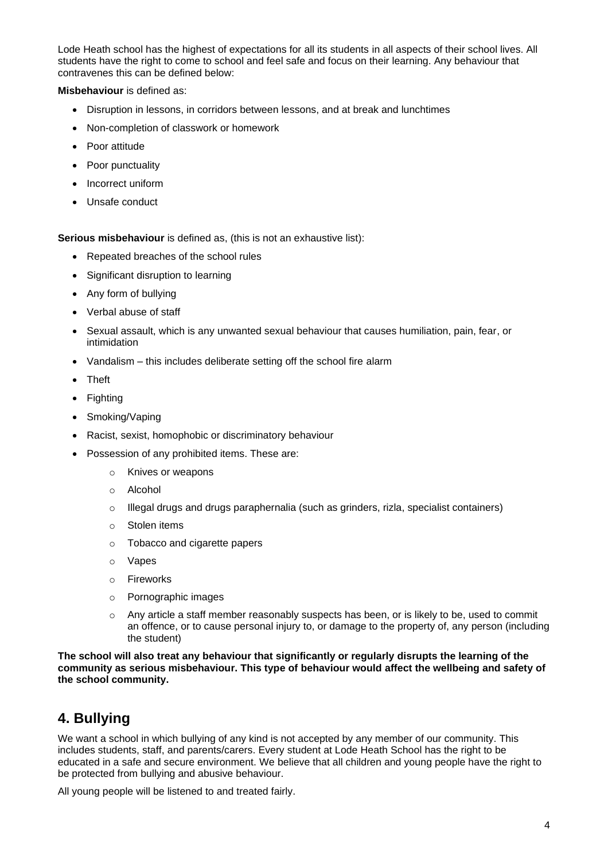Lode Heath school has the highest of expectations for all its students in all aspects of their school lives. All students have the right to come to school and feel safe and focus on their learning. Any behaviour that contravenes this can be defined below:

**Misbehaviour** is defined as:

- Disruption in lessons, in corridors between lessons, and at break and lunchtimes
- Non-completion of classwork or homework
- Poor attitude
- Poor punctuality
- Incorrect uniform
- Unsafe conduct

**Serious misbehaviour** is defined as, (this is not an exhaustive list):

- Repeated breaches of the school rules
- Significant disruption to learning
- Any form of bullying
- Verbal abuse of staff
- Sexual assault, which is any unwanted sexual behaviour that causes humiliation, pain, fear, or intimidation
- Vandalism this includes deliberate setting off the school fire alarm
- Theft
- Fighting
- Smoking/Vaping
- Racist, sexist, homophobic or discriminatory behaviour
- Possession of any prohibited items. These are:
	- o Knives or weapons
	- o Alcohol
	- $\circ$  Illegal drugs and drugs paraphernalia (such as grinders, rizla, specialist containers)
	- o Stolen items
	- o Tobacco and cigarette papers
	- o Vapes
	- o Fireworks
	- o Pornographic images
	- $\circ$  Any article a staff member reasonably suspects has been, or is likely to be, used to commit an offence, or to cause personal injury to, or damage to the property of, any person (including the student)

**The school will also treat any behaviour that significantly or regularly disrupts the learning of the community as serious misbehaviour. This type of behaviour would affect the wellbeing and safety of the school community.**

### **4. Bullying**

We want a school in which bullying of any kind is not accepted by any member of our community. This includes students, staff, and parents/carers. Every student at Lode Heath School has the right to be educated in a safe and secure environment. We believe that all children and young people have the right to be protected from bullying and abusive behaviour.

All young people will be listened to and treated fairly.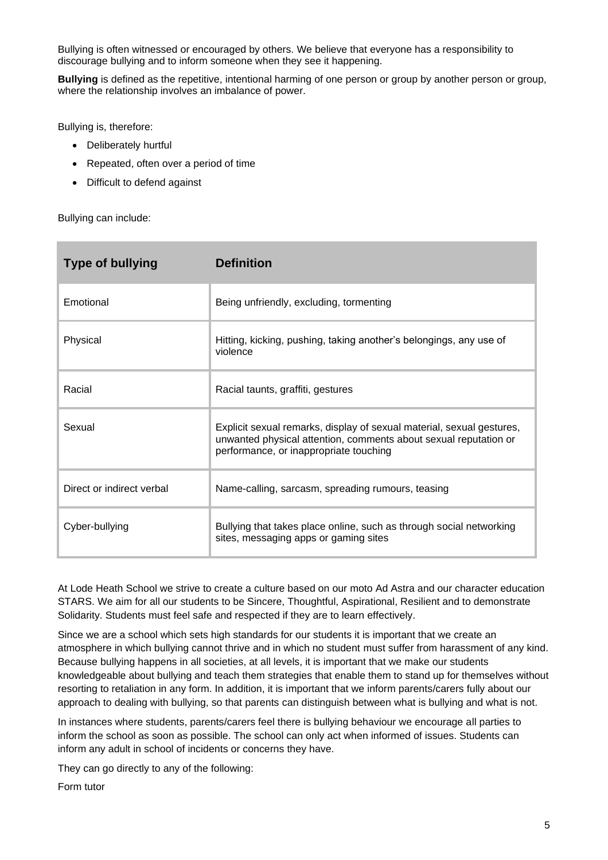Bullying is often witnessed or encouraged by others. We believe that everyone has a responsibility to discourage bullying and to inform someone when they see it happening.

**Bullying** is defined as the repetitive, intentional harming of one person or group by another person or group, where the relationship involves an imbalance of power.

Bullying is, therefore:

- Deliberately hurtful
- Repeated, often over a period of time
- Difficult to defend against

Bullying can include:

| <b>Type of bullying</b>   | <b>Definition</b>                                                                                                                                                                   |
|---------------------------|-------------------------------------------------------------------------------------------------------------------------------------------------------------------------------------|
| Emotional                 | Being unfriendly, excluding, tormenting                                                                                                                                             |
| Physical                  | Hitting, kicking, pushing, taking another's belongings, any use of<br>violence                                                                                                      |
| Racial                    | Racial taunts, graffiti, gestures                                                                                                                                                   |
| Sexual                    | Explicit sexual remarks, display of sexual material, sexual gestures,<br>unwanted physical attention, comments about sexual reputation or<br>performance, or inappropriate touching |
| Direct or indirect verbal | Name-calling, sarcasm, spreading rumours, teasing                                                                                                                                   |
| Cyber-bullying            | Bullying that takes place online, such as through social networking<br>sites, messaging apps or gaming sites                                                                        |

At Lode Heath School we strive to create a culture based on our moto Ad Astra and our character education STARS. We aim for all our students to be Sincere, Thoughtful, Aspirational, Resilient and to demonstrate Solidarity. Students must feel safe and respected if they are to learn effectively.

Since we are a school which sets high standards for our students it is important that we create an atmosphere in which bullying cannot thrive and in which no student must suffer from harassment of any kind. Because bullying happens in all societies, at all levels, it is important that we make our students knowledgeable about bullying and teach them strategies that enable them to stand up for themselves without resorting to retaliation in any form. In addition, it is important that we inform parents/carers fully about our approach to dealing with bullying, so that parents can distinguish between what is bullying and what is not.

In instances where students, parents/carers feel there is bullying behaviour we encourage all parties to inform the school as soon as possible. The school can only act when informed of issues. Students can inform any adult in school of incidents or concerns they have.

They can go directly to any of the following:

Form tutor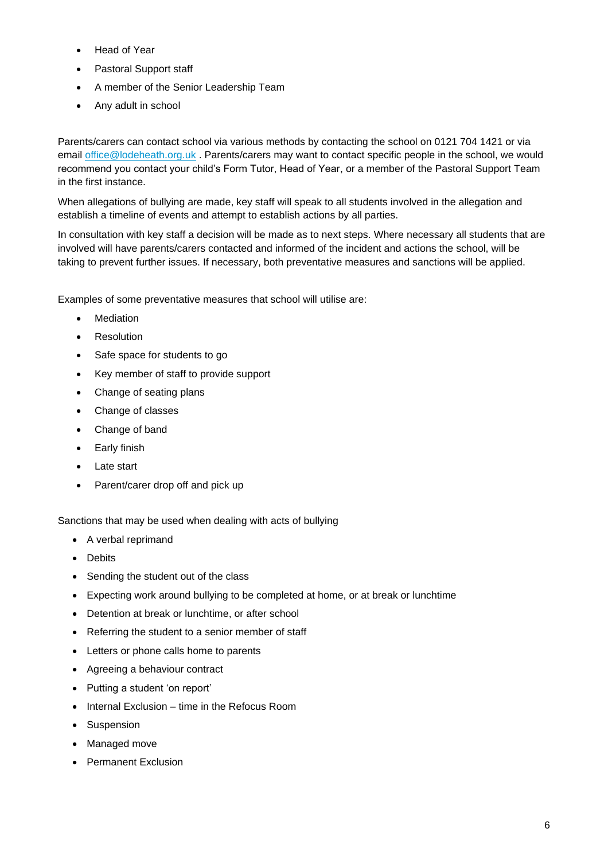- Head of Year
- Pastoral Support staff
- A member of the Senior Leadership Team
- Any adult in school

Parents/carers can contact school via various methods by contacting the school on 0121 704 1421 or via email [office@lodeheath.org.uk](mailto:office@lodeheath.org.uk) . Parents/carers may want to contact specific people in the school, we would recommend you contact your child's Form Tutor, Head of Year, or a member of the Pastoral Support Team in the first instance.

When allegations of bullying are made, key staff will speak to all students involved in the allegation and establish a timeline of events and attempt to establish actions by all parties.

In consultation with key staff a decision will be made as to next steps. Where necessary all students that are involved will have parents/carers contacted and informed of the incident and actions the school, will be taking to prevent further issues. If necessary, both preventative measures and sanctions will be applied.

Examples of some preventative measures that school will utilise are:

- **Mediation**
- Resolution
- Safe space for students to go
- Key member of staff to provide support
- Change of seating plans
- Change of classes
- Change of band
- Early finish
- Late start
- Parent/carer drop off and pick up

Sanctions that may be used when dealing with acts of bullying

- A verbal reprimand
- Debits
- Sending the student out of the class
- Expecting work around bullying to be completed at home, or at break or lunchtime
- Detention at break or lunchtime, or after school
- Referring the student to a senior member of staff
- Letters or phone calls home to parents
- Agreeing a behaviour contract
- Putting a student 'on report'
- Internal Exclusion time in the Refocus Room
- Suspension
- Managed move
- Permanent Exclusion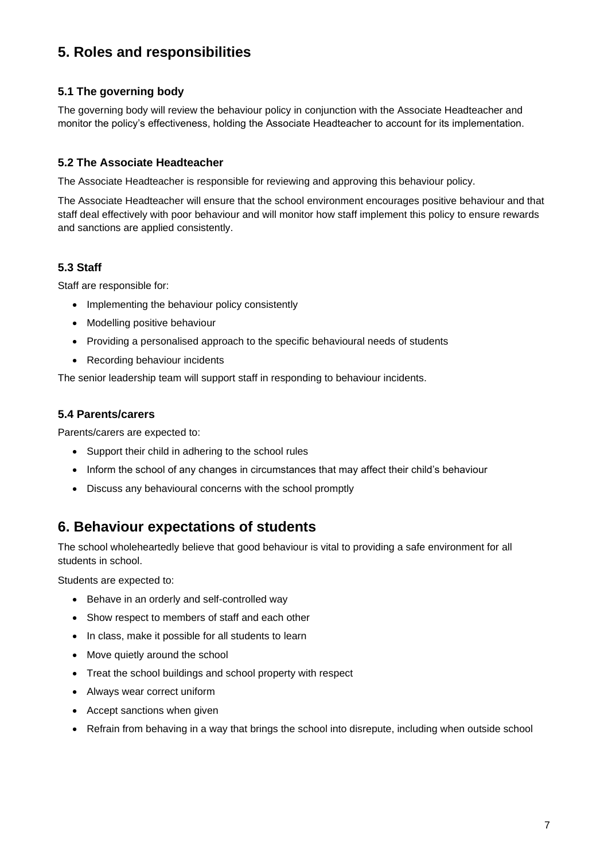## **5. Roles and responsibilities**

### **5.1 The governing body**

The governing body will review the behaviour policy in conjunction with the Associate Headteacher and monitor the policy's effectiveness, holding the Associate Headteacher to account for its implementation.

### **5.2 The Associate Headteacher**

The Associate Headteacher is responsible for reviewing and approving this behaviour policy.

The Associate Headteacher will ensure that the school environment encourages positive behaviour and that staff deal effectively with poor behaviour and will monitor how staff implement this policy to ensure rewards and sanctions are applied consistently.

### **5.3 Staff**

Staff are responsible for:

- Implementing the behaviour policy consistently
- Modelling positive behaviour
- Providing a personalised approach to the specific behavioural needs of students
- Recording behaviour incidents

The senior leadership team will support staff in responding to behaviour incidents.

### **5.4 Parents/carers**

Parents/carers are expected to:

- Support their child in adhering to the school rules
- Inform the school of any changes in circumstances that may affect their child's behaviour
- Discuss any behavioural concerns with the school promptly

### **6. Behaviour expectations of students**

The school wholeheartedly believe that good behaviour is vital to providing a safe environment for all students in school.

Students are expected to:

- Behave in an orderly and self-controlled way
- Show respect to members of staff and each other
- In class, make it possible for all students to learn
- Move quietly around the school
- Treat the school buildings and school property with respect
- Always wear correct uniform
- Accept sanctions when given
- Refrain from behaving in a way that brings the school into disrepute, including when outside school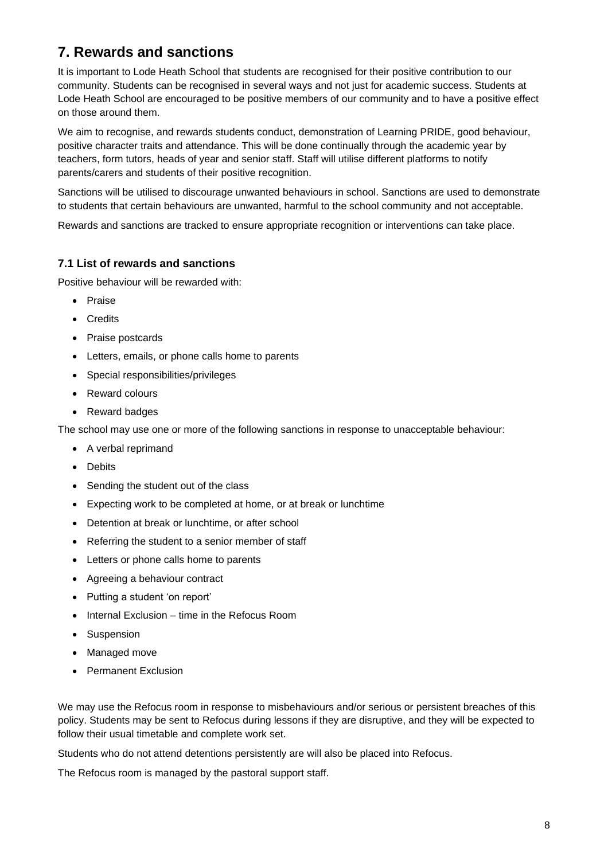# **7. Rewards and sanctions**

It is important to Lode Heath School that students are recognised for their positive contribution to our community. Students can be recognised in several ways and not just for academic success. Students at Lode Heath School are encouraged to be positive members of our community and to have a positive effect on those around them.

We aim to recognise, and rewards students conduct, demonstration of Learning PRIDE, good behaviour, positive character traits and attendance. This will be done continually through the academic year by teachers, form tutors, heads of year and senior staff. Staff will utilise different platforms to notify parents/carers and students of their positive recognition.

Sanctions will be utilised to discourage unwanted behaviours in school. Sanctions are used to demonstrate to students that certain behaviours are unwanted, harmful to the school community and not acceptable.

Rewards and sanctions are tracked to ensure appropriate recognition or interventions can take place.

### **7.1 List of rewards and sanctions**

Positive behaviour will be rewarded with:

- Praise
- Credits
- Praise postcards
- Letters, emails, or phone calls home to parents
- Special responsibilities/privileges
- Reward colours
- Reward badges

The school may use one or more of the following sanctions in response to unacceptable behaviour:

- A verbal reprimand
- Debits
- Sending the student out of the class
- Expecting work to be completed at home, or at break or lunchtime
- Detention at break or lunchtime, or after school
- Referring the student to a senior member of staff
- Letters or phone calls home to parents
- Agreeing a behaviour contract
- Putting a student 'on report'
- Internal Exclusion time in the Refocus Room
- Suspension
- Managed move
- Permanent Exclusion

We may use the Refocus room in response to misbehaviours and/or serious or persistent breaches of this policy. Students may be sent to Refocus during lessons if they are disruptive, and they will be expected to follow their usual timetable and complete work set.

Students who do not attend detentions persistently are will also be placed into Refocus.

The Refocus room is managed by the pastoral support staff.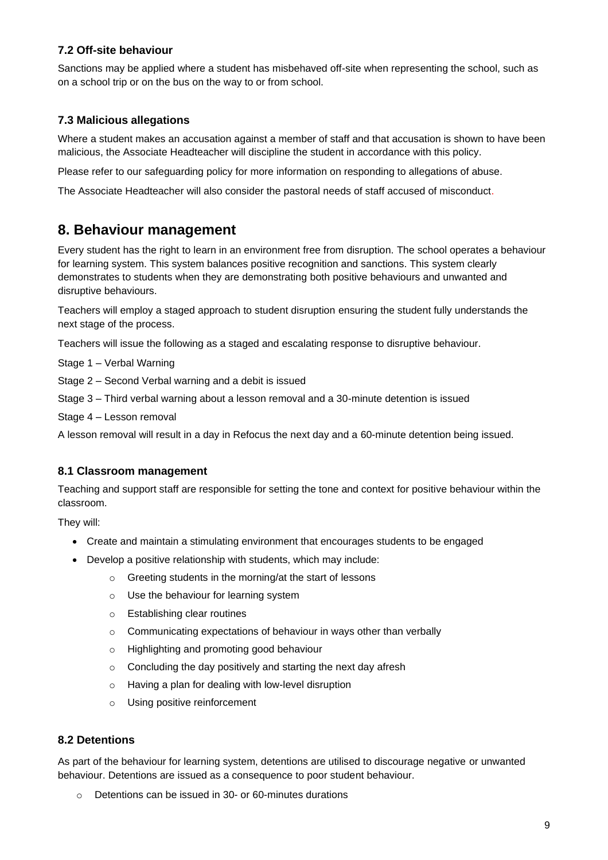### **7.2 Off-site behaviour**

Sanctions may be applied where a student has misbehaved off-site when representing the school, such as on a school trip or on the bus on the way to or from school.

### **7.3 Malicious allegations**

Where a student makes an accusation against a member of staff and that accusation is shown to have been malicious, the Associate Headteacher will discipline the student in accordance with this policy.

Please refer to our safeguarding policy for more information on responding to allegations of abuse.

The Associate Headteacher will also consider the pastoral needs of staff accused of misconduct.

### **8. Behaviour management**

Every student has the right to learn in an environment free from disruption. The school operates a behaviour for learning system. This system balances positive recognition and sanctions. This system clearly demonstrates to students when they are demonstrating both positive behaviours and unwanted and disruptive behaviours.

Teachers will employ a staged approach to student disruption ensuring the student fully understands the next stage of the process.

Teachers will issue the following as a staged and escalating response to disruptive behaviour.

Stage 1 – Verbal Warning

Stage 2 – Second Verbal warning and a debit is issued

Stage 3 – Third verbal warning about a lesson removal and a 30-minute detention is issued

Stage 4 – Lesson removal

A lesson removal will result in a day in Refocus the next day and a 60-minute detention being issued.

### **8.1 Classroom management**

Teaching and support staff are responsible for setting the tone and context for positive behaviour within the classroom.

They will:

- Create and maintain a stimulating environment that encourages students to be engaged
- Develop a positive relationship with students, which may include:
	- o Greeting students in the morning/at the start of lessons
	- o Use the behaviour for learning system
	- o Establishing clear routines
	- o Communicating expectations of behaviour in ways other than verbally
	- o Highlighting and promoting good behaviour
	- $\circ$  Concluding the day positively and starting the next day afresh
	- o Having a plan for dealing with low-level disruption
	- o Using positive reinforcement

#### **8.2 Detentions**

As part of the behaviour for learning system, detentions are utilised to discourage negative or unwanted behaviour. Detentions are issued as a consequence to poor student behaviour.

o Detentions can be issued in 30- or 60-minutes durations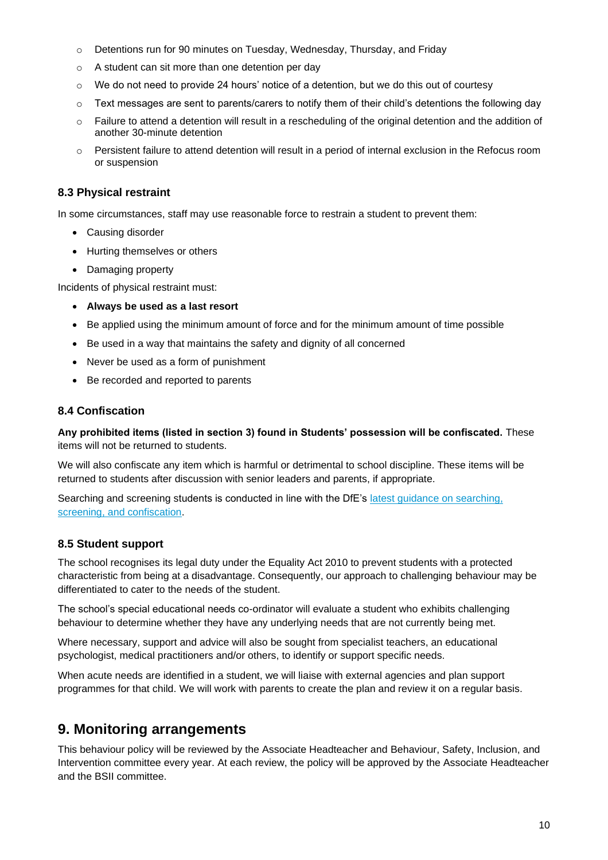- o Detentions run for 90 minutes on Tuesday, Wednesday, Thursday, and Friday
- o A student can sit more than one detention per day
- $\circ$  We do not need to provide 24 hours' notice of a detention, but we do this out of courtesy
- $\circ$  Text messages are sent to parents/carers to notify them of their child's detentions the following day
- $\circ$  Failure to attend a detention will result in a rescheduling of the original detention and the addition of another 30-minute detention
- o Persistent failure to attend detention will result in a period of internal exclusion in the Refocus room or suspension

#### **8.3 Physical restraint**

In some circumstances, staff may use reasonable force to restrain a student to prevent them:

- Causing disorder
- Hurting themselves or others
- Damaging property

Incidents of physical restraint must:

- **Always be used as a last resort**
- Be applied using the minimum amount of force and for the minimum amount of time possible
- Be used in a way that maintains the safety and dignity of all concerned
- Never be used as a form of punishment
- Be recorded and reported to parents

#### **8.4 Confiscation**

**Any prohibited items (listed in section 3) found in Students' possession will be confiscated.** These items will not be returned to students.

We will also confiscate any item which is harmful or detrimental to school discipline. These items will be returned to students after discussion with senior leaders and parents, if appropriate.

Searching and screening students is conducted in line with the DfE's [latest guidance on searching,](https://www.gov.uk/government/publications/searching-screening-and-confiscation)  screening, [and confiscation.](https://www.gov.uk/government/publications/searching-screening-and-confiscation)

### **8.5 Student support**

The school recognises its legal duty under the Equality Act 2010 to prevent students with a protected characteristic from being at a disadvantage. Consequently, our approach to challenging behaviour may be differentiated to cater to the needs of the student.

The school's special educational needs co-ordinator will evaluate a student who exhibits challenging behaviour to determine whether they have any underlying needs that are not currently being met.

Where necessary, support and advice will also be sought from specialist teachers, an educational psychologist, medical practitioners and/or others, to identify or support specific needs.

When acute needs are identified in a student, we will liaise with external agencies and plan support programmes for that child. We will work with parents to create the plan and review it on a regular basis.

### **9. Monitoring arrangements**

This behaviour policy will be reviewed by the Associate Headteacher and Behaviour, Safety, Inclusion, and Intervention committee every year. At each review, the policy will be approved by the Associate Headteacher and the BSII committee.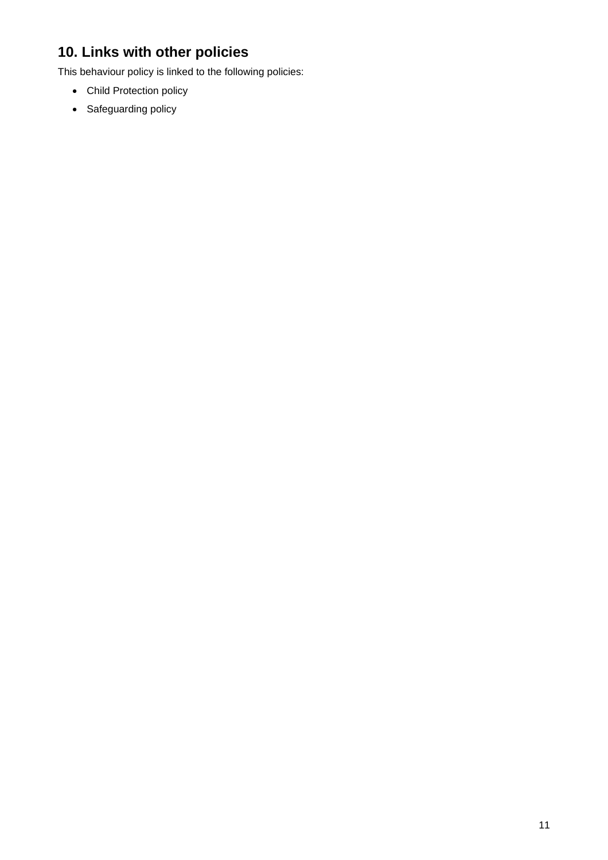# **10. Links with other policies**

This behaviour policy is linked to the following policies:

- Child Protection policy
- Safeguarding policy